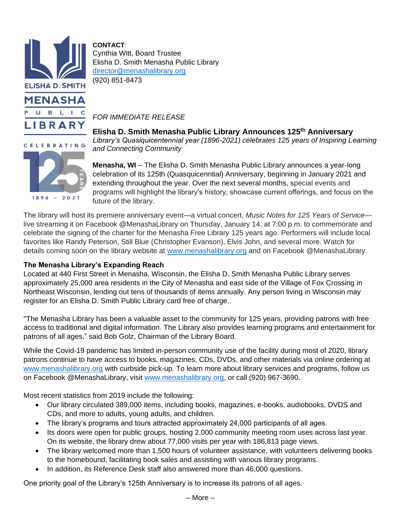

 $1896 - 2021$ 

**CONTACT**: Cynthia Witt, Board Trustee Elisha D. Smith Menasha Public Library [director@menashalibrary.org](mailto:director@menashalibrary.org) (920) 851-8473

*FOR IMMEDIATE RELEASE*

**Elisha D. Smith Menasha Public Library Announces 125th Anniversary** *Library's Quasiquicentennial year (1896-2021) celebrates 125 years of Inspiring Learning and Connecting Community*

**Menasha, WI** – The Elisha D. Smith Menasha Public Library announces a year-long celebration of its 125th (Quasquicenntial) Anniversary, beginning in January 2021 and extending throughout the year. Over the next several months, special events and programs will highlight the library's history, showcase current offerings, and focus on the future of the library.

The library will host its premiere anniversary event—a virtual concert, *Music Notes for 125 Years of Service* live streaming it on Facebook @MenashaLibrary on Thursday, January 14, at 7:00 p.m. to commemorate and celebrate the signing of the charter for the Menasha Free Library 125 years ago. Performers will include local favorites like Randy Peterson, Still Blue (Christopher Evanson), Elvis John, and several more. Watch for details coming soon on the library website at [www.menashalibrary.org](http://www.menashalibrary.org/) and on Facebook @MenashaLibrary.

## **The Menasha Library's Expanding Reach**

Located at 440 First Street in Menasha, Wisconsin, the Elisha D. Smith Menasha Public Library serves approximately 25,000 area residents in the City of Menasha and east side of the Village of Fox Crossing in Northeast Wisconsin, lending out tens of thousands of items annually. Any person living in Wisconsin may register for an Elisha D. Smith Public Library card free of charge.

"The Menasha Library has been a valuable asset to the community for 125 years, providing patrons with free access to traditional and digital information. The Library also provides learning programs and entertainment for patrons of all ages," said Bob Golz, Chairman of the Library Board.

While the Covid-19 pandemic has limited in-person community use of the facility during most of 2020, library patrons continue to have access to books, magazines, CDs, DVDs, and other materials via online ordering at [www.menashalibrary.org](http://www.menashalibrary.org/) with curbside pick-up. To learn more about library services and programs, follow us on Facebook @MenashaLibrary, visit [www.menashalibrary.org,](http://www.menashalibrary.org/) or call (920) 967-3690.

Most recent statistics from 2019 include the following:

- Our library circulated 389,000 items, including books, magazines, e-books, audiobooks, DVDS and CDs, and more to adults, young adults, and children.
- The library's programs and tours attracted approximately 24,000 participants of all ages.
- Its doors were open for public groups, hosting 2,000 community meeting room uses across last year. On its website, the library drew about 77,000 visits per year with 186,813 page views.
- The library welcomed more than 1,500 hours of volunteer assistance, with volunteers delivering books to the homebound, facilitating book sales and assisting with various library programs.
- In addition, its Reference Desk staff also answered more than 46,000 questions.

One priority goal of the Library's 125th Anniversary is to increase its patrons of all ages.